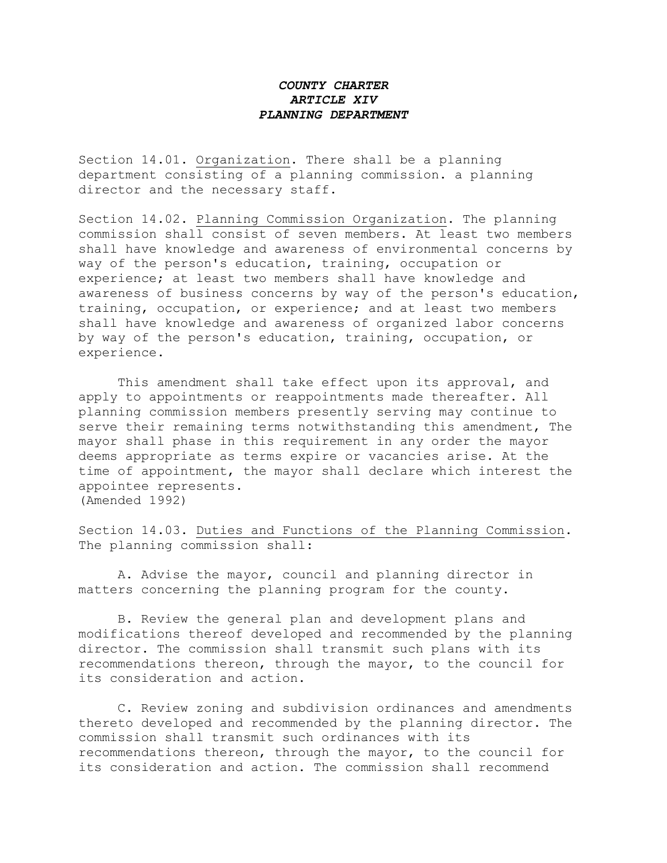## *COUNTY CHARTER ARTICLE XIV PLANNING DEPARTMENT*

Section 14.01. Organization. There shall be a planning department consisting of a planning commission. a planning director and the necessary staff.

Section 14.02. Planning Commission Organization. The planning commission shall consist of seven members. At least two members shall have knowledge and awareness of environmental concerns by way of the person's education, training, occupation or experience; at least two members shall have knowledge and awareness of business concerns by way of the person's education, training, occupation, or experience; and at least two members shall have knowledge and awareness of organized labor concerns by way of the person's education, training, occupation, or experience.

This amendment shall take effect upon its approval, and apply to appointments or reappointments made thereafter. All planning commission members presently serving may continue to serve their remaining terms notwithstanding this amendment, The mayor shall phase in this requirement in any order the mayor deems appropriate as terms expire or vacancies arise. At the time of appointment, the mayor shall declare which interest the appointee represents. (Amended 1992)

Section 14.03. Duties and Functions of the Planning Commission. The planning commission shall:

A. Advise the mayor, council and planning director in matters concerning the planning program for the county.

B. Review the general plan and development plans and modifications thereof developed and recommended by the planning director. The commission shall transmit such plans with its recommendations thereon, through the mayor, to the council for its consideration and action.

C. Review zoning and subdivision ordinances and amendments thereto developed and recommended by the planning director. The commission shall transmit such ordinances with its recommendations thereon, through the mayor, to the council for its consideration and action. The commission shall recommend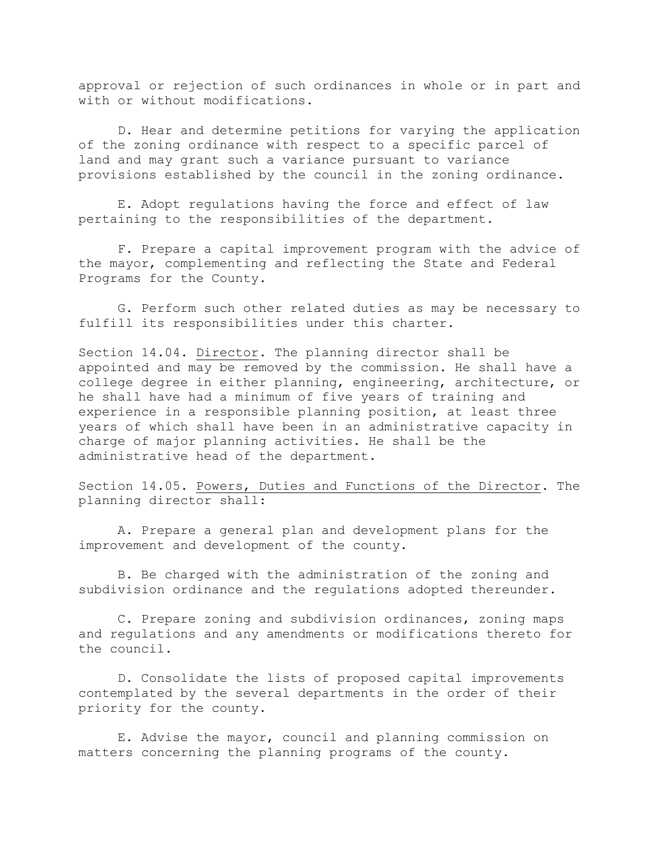approval or rejection of such ordinances in whole or in part and with or without modifications.

D. Hear and determine petitions for varying the application of the zoning ordinance with respect to a specific parcel of land and may grant such a variance pursuant to variance provisions established by the council in the zoning ordinance.

E. Adopt regulations having the force and effect of law pertaining to the responsibilities of the department.

F. Prepare a capital improvement program with the advice of the mayor, complementing and reflecting the State and Federal Programs for the County.

G. Perform such other related duties as may be necessary to fulfill its responsibilities under this charter.

Section 14.04. Director. The planning director shall be appointed and may be removed by the commission. He shall have a college degree in either planning, engineering, architecture, or he shall have had a minimum of five years of training and experience in a responsible planning position, at least three years of which shall have been in an administrative capacity in charge of major planning activities. He shall be the administrative head of the department.

Section 14.05. Powers, Duties and Functions of the Director. The planning director shall:

A. Prepare a general plan and development plans for the improvement and development of the county.

B. Be charged with the administration of the zoning and subdivision ordinance and the regulations adopted thereunder.

C. Prepare zoning and subdivision ordinances, zoning maps and regulations and any amendments or modifications thereto for the council.

D. Consolidate the lists of proposed capital improvements contemplated by the several departments in the order of their priority for the county.

E. Advise the mayor, council and planning commission on matters concerning the planning programs of the county.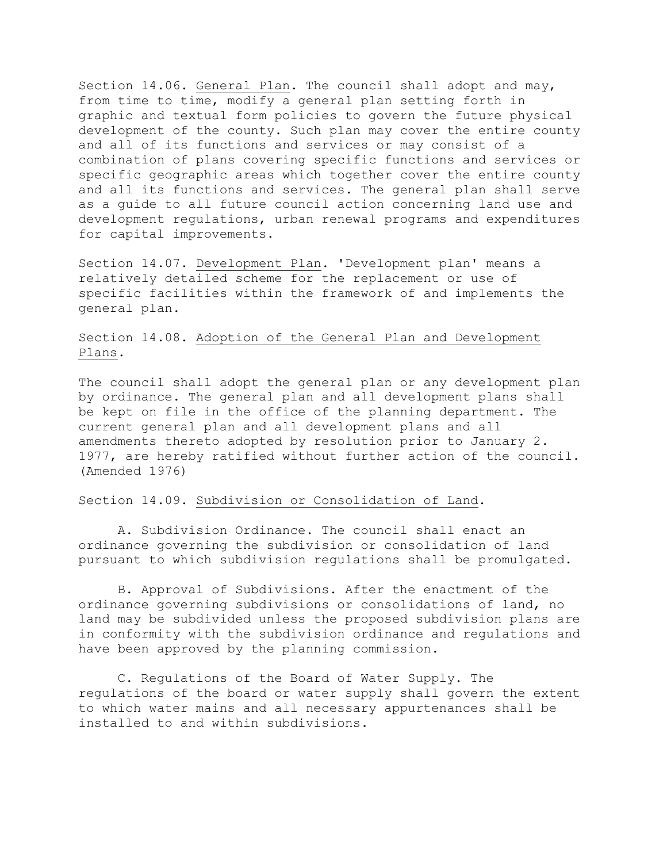Section 14.06. General Plan. The council shall adopt and may, from time to time, modify a general plan setting forth in graphic and textual form policies to govern the future physical development of the county. Such plan may cover the entire county and all of its functions and services or may consist of a combination of plans covering specific functions and services or specific geographic areas which together cover the entire county and all its functions and services. The general plan shall serve as a guide to all future council action concerning land use and development regulations, urban renewal programs and expenditures for capital improvements.

Section 14.07. Development Plan. 'Development plan' means a relatively detailed scheme for the replacement or use of specific facilities within the framework of and implements the general plan.

## Section 14.08. Adoption of the General Plan and Development Plans.

The council shall adopt the general plan or any development plan by ordinance. The general plan and all development plans shall be kept on file in the office of the planning department. The current general plan and all development plans and all amendments thereto adopted by resolution prior to January 2. 1977, are hereby ratified without further action of the council. (Amended 1976)

## Section 14.09. Subdivision or Consolidation of Land.

A. Subdivision Ordinance. The council shall enact an ordinance governing the subdivision or consolidation of land pursuant to which subdivision regulations shall be promulgated.

B. Approval of Subdivisions. After the enactment of the ordinance governing subdivisions or consolidations of land, no land may be subdivided unless the proposed subdivision plans are in conformity with the subdivision ordinance and regulations and have been approved by the planning commission.

C. Regulations of the Board of Water Supply. The regulations of the board or water supply shall govern the extent to which water mains and all necessary appurtenances shall be installed to and within subdivisions.